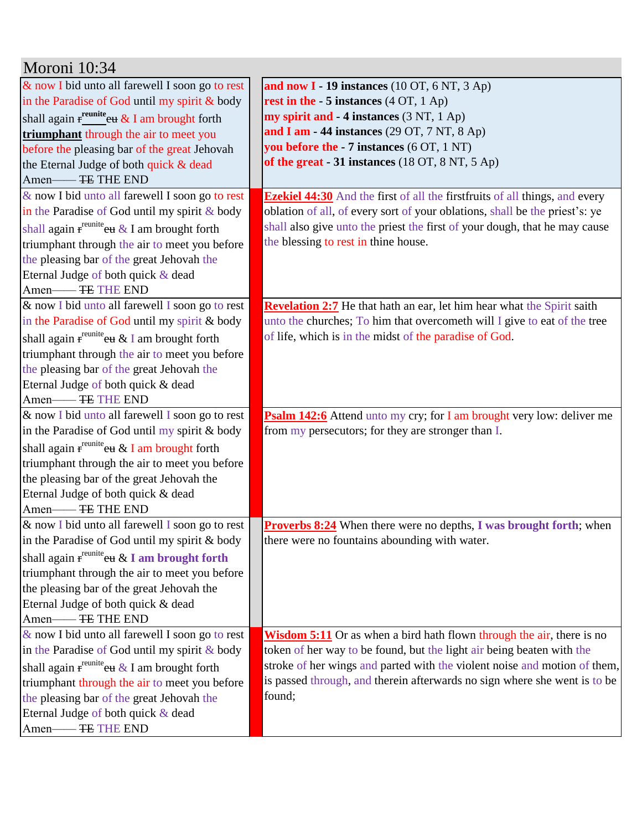| Moroni 10:34                                                 |                                                                                     |
|--------------------------------------------------------------|-------------------------------------------------------------------------------------|
| & now I bid unto all farewell I soon go to rest              | and now $I - 19$ instances (10 OT, 6 NT, 3 Ap)                                      |
| in the Paradise of God until my spirit & body                | rest in the $-5$ instances (4 OT, 1 Ap)                                             |
| shall again $f_1^{\text{reunite}}$ eu & I am brought forth   | my spirit and - 4 instances (3 NT, 1 Ap)                                            |
| triumphant through the air to meet you                       | and I am - 44 instances (29 OT, 7 NT, 8 Ap)                                         |
| before the pleasing bar of the great Jehovah                 | you before the - 7 instances (6 OT, 1 NT)                                           |
| the Eternal Judge of both quick & dead                       | of the great - 31 instances (18 OT, 8 NT, 5 Ap)                                     |
| Amen-FE THE END                                              |                                                                                     |
| & now I bid unto all farewell I soon go to rest              | <b>Ezekiel 44:30</b> And the first of all the first fruits of all things, and every |
| in the Paradise of God until my spirit & body                | oblation of all, of every sort of your oblations, shall be the priest's: ye         |
| shall again $f^{$ reunite <sub>eu</sub> & I am brought forth | shall also give unto the priest the first of your dough, that he may cause          |
| triumphant through the air to meet you before                | the blessing to rest in thine house.                                                |
| the pleasing bar of the great Jehovah the                    |                                                                                     |
| Eternal Judge of both quick & dead                           |                                                                                     |
|                                                              |                                                                                     |
| & now I bid unto all farewell I soon go to rest              | Revelation 2:7 He that hath an ear, let him hear what the Spirit saith              |
| in the Paradise of God until my spirit & body                | unto the churches; To him that overcometh will I give to eat of the tree            |
| shall again $f^{\text{reunite}}$ eu & I am brought forth     | of life, which is in the midst of the paradise of God.                              |
| triumphant through the air to meet you before                |                                                                                     |
| the pleasing bar of the great Jehovah the                    |                                                                                     |
| Eternal Judge of both quick & dead                           |                                                                                     |
| Amen-FE THE END                                              |                                                                                     |
| & now I bid unto all farewell I soon go to rest              | <b>Psalm 142:6</b> Attend unto my cry; for I am brought very low: deliver me        |
| in the Paradise of God until my spirit & body                | from my persecutors; for they are stronger than I.                                  |
| shall again $f^{\text{reunite}}$ eu & I am brought forth     |                                                                                     |
| triumphant through the air to meet you before                |                                                                                     |
| the pleasing bar of the great Jehovah the                    |                                                                                     |
| Eternal Judge of both quick & dead                           |                                                                                     |
| Amen-FE THE END                                              |                                                                                     |
| & now I bid unto all farewell I soon go to rest              | <b>Proverbs 8:24</b> When there were no depths, I was brought forth; when           |
| in the Paradise of God until my spirit & body                | there were no fountains abounding with water.                                       |
| shall again r <sup>reunite</sup> eu & I am brought forth     |                                                                                     |
| triumphant through the air to meet you before                |                                                                                     |
| the pleasing bar of the great Jehovah the                    |                                                                                     |
| Eternal Judge of both quick & dead                           |                                                                                     |
| Amen-FE THE END                                              |                                                                                     |
| & now I bid unto all farewell I soon go to rest              | <b>Wisdom 5:11</b> Or as when a bird hath flown through the air, there is no        |
| in the Paradise of God until my spirit & body                | token of her way to be found, but the light air being beaten with the               |
| shall again r <sup>reunite</sup> eu & I am brought forth     | stroke of her wings and parted with the violent noise and motion of them,           |
| triumphant through the air to meet you before                | is passed through, and therein afterwards no sign where she went is to be           |
| the pleasing bar of the great Jehovah the                    | found;                                                                              |
| Eternal Judge of both quick & dead                           |                                                                                     |
|                                                              |                                                                                     |